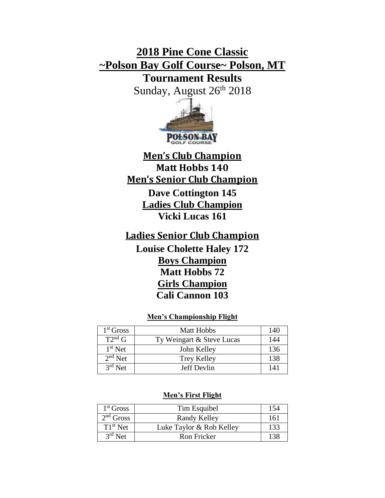# **2018 Pine Cone Classic ~Polson Bay Golf Course~ Polson, MT**

**Tournament Results**

Sunday, August 26<sup>th</sup> 2018



**Men's Club Champion Matt Hobbs 140 Men's Senior Club Champion Dave Cottington 145 Ladies Club Champion Vicki Lucas 161**

**Ladies Senior Club Champion Louise Cholette Haley 172 Boys Champion Matt Hobbs 72 Girls Champion Cali Cannon 103**

# **Men's Championship Flight**

| 1 <sup>st</sup> Gross | <b>Matt Hobbs</b>         | 140 |
|-----------------------|---------------------------|-----|
| $T2^{nd}$ G           | Ty Weingart & Steve Lucas | 144 |
| $1st$ Net             | John Kelley               | 136 |
| $2nd$ Net             | <b>Trey Kelley</b>        | 138 |
| $3rd$ Net             | Jeff Devlin               | 141 |

## **Men's First Flight**

| 1 <sup>st</sup> Gross | Tim Esquibel             | 154 |
|-----------------------|--------------------------|-----|
| $2nd$ Gross           | Randy Kelley             | 161 |
| $T1st$ Net            | Luke Taylor & Rob Kelley | 133 |
| $3rd$ Net             | Ron Fricker              | 138 |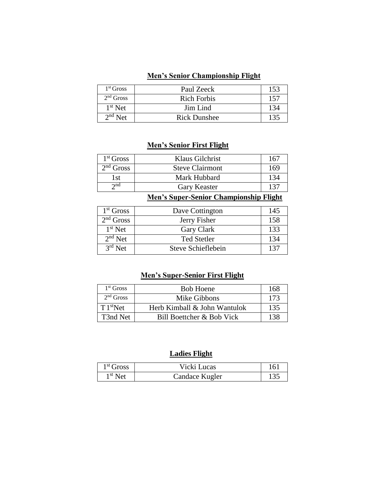## **Men's Senior Championship Flight**

| $1st$ Gross | Paul Zeeck          | 153 |
|-------------|---------------------|-----|
| $2nd$ Gross | <b>Rich Forbis</b>  | 157 |
| $1st$ Net   | Jim Lind            | 134 |
| $2nd$ Net   | <b>Rick Dunshee</b> | 135 |

# **Men's Senior First Flight**

| $1st$ Gross | Klaus Gilchrist        | 167 |
|-------------|------------------------|-----|
| $2nd$ Gross | <b>Steve Clairmont</b> | 169 |
| 1st         | Mark Hubbard           | 134 |
| $\gamma$ nd | Gary Keaster           | 131 |

**Men's Super-Senior Championship Flight**

| $1st$ Gross | Dave Cottington    | 145 |
|-------------|--------------------|-----|
| $2nd$ Gross | Jerry Fisher       | 158 |
| $1st$ Net   | Gary Clark         | 133 |
| $2nd$ Net   | <b>Ted Stetler</b> | 134 |
| $3rd$ Net   | Steve Schieflebein | 137 |

# **Men's Super-Senior First Flight**

| 1 <sup>st</sup> Gross | <b>Bob Hoene</b>             | 168 |
|-----------------------|------------------------------|-----|
| $2nd$ Gross           | Mike Gibbons                 | 173 |
| T1 <sup>st</sup> Net  | Herb Kimball & John Wantulok | 135 |
| T3nd Net              | Bill Boettcher & Bob Vick    | 138 |

# **Ladies Flight**

| $1st$ Gross | Vicki Lucas    | 161 |
|-------------|----------------|-----|
| $1st$ Net   | Candace Kugler | 135 |